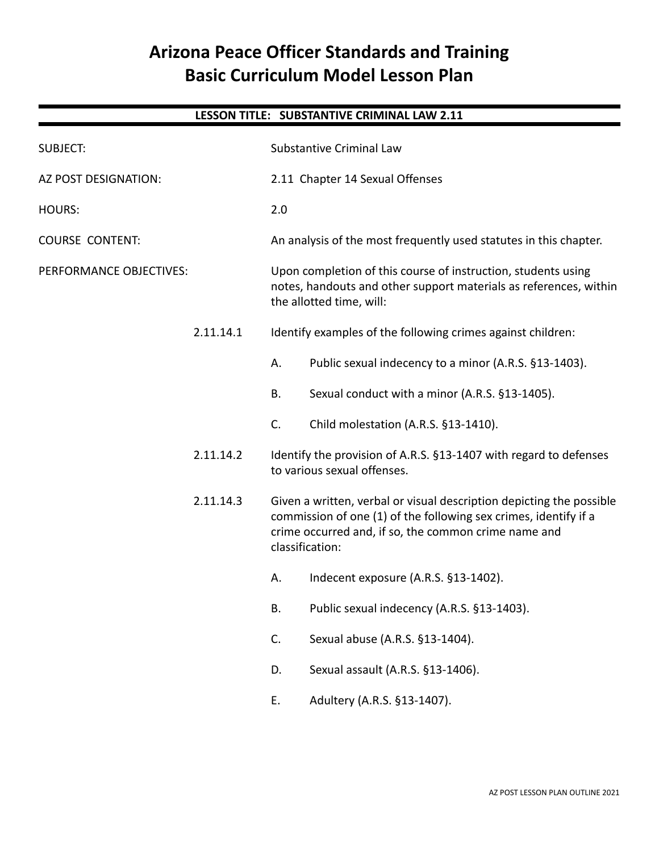## **Arizona Peace Officer Standards and Training Basic Curriculum Model Lesson Plan**

### **LESSON TITLE: SUBSTANTIVE CRIMINAL LAW 2.11**

| <b>SUBJECT:</b>         |           | Substantive Criminal Law                                                                                                                                       |                                                                                                                                                                                                  |
|-------------------------|-----------|----------------------------------------------------------------------------------------------------------------------------------------------------------------|--------------------------------------------------------------------------------------------------------------------------------------------------------------------------------------------------|
| AZ POST DESIGNATION:    |           | 2.11 Chapter 14 Sexual Offenses                                                                                                                                |                                                                                                                                                                                                  |
| <b>HOURS:</b>           |           | 2.0                                                                                                                                                            |                                                                                                                                                                                                  |
| <b>COURSE CONTENT:</b>  |           | An analysis of the most frequently used statutes in this chapter.                                                                                              |                                                                                                                                                                                                  |
| PERFORMANCE OBJECTIVES: |           | Upon completion of this course of instruction, students using<br>notes, handouts and other support materials as references, within<br>the allotted time, will: |                                                                                                                                                                                                  |
|                         | 2.11.14.1 |                                                                                                                                                                | Identify examples of the following crimes against children:                                                                                                                                      |
|                         |           | Α.                                                                                                                                                             | Public sexual indecency to a minor (A.R.S. §13-1403).                                                                                                                                            |
|                         |           | Β.                                                                                                                                                             | Sexual conduct with a minor (A.R.S. §13-1405).                                                                                                                                                   |
|                         |           | C.                                                                                                                                                             | Child molestation (A.R.S. §13-1410).                                                                                                                                                             |
|                         | 2.11.14.2 |                                                                                                                                                                | Identify the provision of A.R.S. §13-1407 with regard to defenses<br>to various sexual offenses.                                                                                                 |
|                         | 2.11.14.3 | classification:                                                                                                                                                | Given a written, verbal or visual description depicting the possible<br>commission of one (1) of the following sex crimes, identify if a<br>crime occurred and, if so, the common crime name and |
|                         |           | А.                                                                                                                                                             | Indecent exposure (A.R.S. §13-1402).                                                                                                                                                             |
|                         |           | Β.                                                                                                                                                             | Public sexual indecency (A.R.S. §13-1403).                                                                                                                                                       |
|                         |           | C.                                                                                                                                                             | Sexual abuse (A.R.S. §13-1404).                                                                                                                                                                  |
|                         |           | D.                                                                                                                                                             | Sexual assault (A.R.S. §13-1406).                                                                                                                                                                |
|                         |           | E.                                                                                                                                                             | Adultery (A.R.S. §13-1407).                                                                                                                                                                      |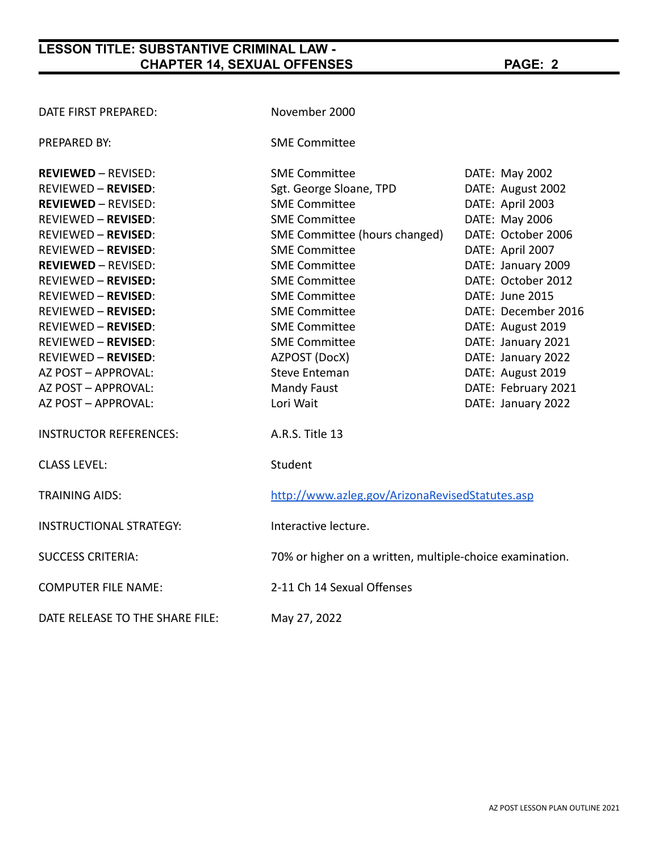| DATE FIRST PREPARED:            | November 2000                                            |                     |
|---------------------------------|----------------------------------------------------------|---------------------|
| PREPARED BY:                    | <b>SME Committee</b>                                     |                     |
| <b>REVIEWED - REVISED:</b>      | <b>SME Committee</b>                                     | DATE: May 2002      |
| <b>REVIEWED - REVISED:</b>      | Sgt. George Sloane, TPD                                  | DATE: August 2002   |
| <b>REVIEWED - REVISED:</b>      | <b>SME Committee</b>                                     | DATE: April 2003    |
| <b>REVIEWED - REVISED:</b>      | <b>SME Committee</b>                                     | DATE: May 2006      |
| <b>REVIEWED - REVISED:</b>      | SME Committee (hours changed)                            | DATE: October 2006  |
| <b>REVIEWED - REVISED:</b>      | <b>SME Committee</b>                                     | DATE: April 2007    |
| <b>REVIEWED - REVISED:</b>      | <b>SME Committee</b>                                     | DATE: January 2009  |
| <b>REVIEWED - REVISED:</b>      | <b>SME Committee</b>                                     | DATE: October 2012  |
| <b>REVIEWED - REVISED:</b>      | <b>SME Committee</b>                                     | DATE: June 2015     |
| <b>REVIEWED - REVISED:</b>      | <b>SME Committee</b>                                     | DATE: December 2016 |
| <b>REVIEWED - REVISED:</b>      | <b>SME Committee</b>                                     | DATE: August 2019   |
| <b>REVIEWED - REVISED:</b>      | <b>SME Committee</b>                                     | DATE: January 2021  |
| <b>REVIEWED - REVISED:</b>      | AZPOST (DocX)                                            | DATE: January 2022  |
| AZ POST - APPROVAL:             | <b>Steve Enteman</b>                                     | DATE: August 2019   |
| AZ POST - APPROVAL:             | <b>Mandy Faust</b>                                       | DATE: February 2021 |
| AZ POST - APPROVAL:             | Lori Wait                                                | DATE: January 2022  |
| <b>INSTRUCTOR REFERENCES:</b>   | A.R.S. Title 13                                          |                     |
| <b>CLASS LEVEL:</b>             | Student                                                  |                     |
| <b>TRAINING AIDS:</b>           | http://www.azleg.gov/ArizonaRevisedStatutes.asp          |                     |
| <b>INSTRUCTIONAL STRATEGY:</b>  | Interactive lecture.                                     |                     |
| <b>SUCCESS CRITERIA:</b>        | 70% or higher on a written, multiple-choice examination. |                     |
| <b>COMPUTER FILE NAME:</b>      | 2-11 Ch 14 Sexual Offenses                               |                     |
| DATE RELEASE TO THE SHARE FILE: | May 27, 2022                                             |                     |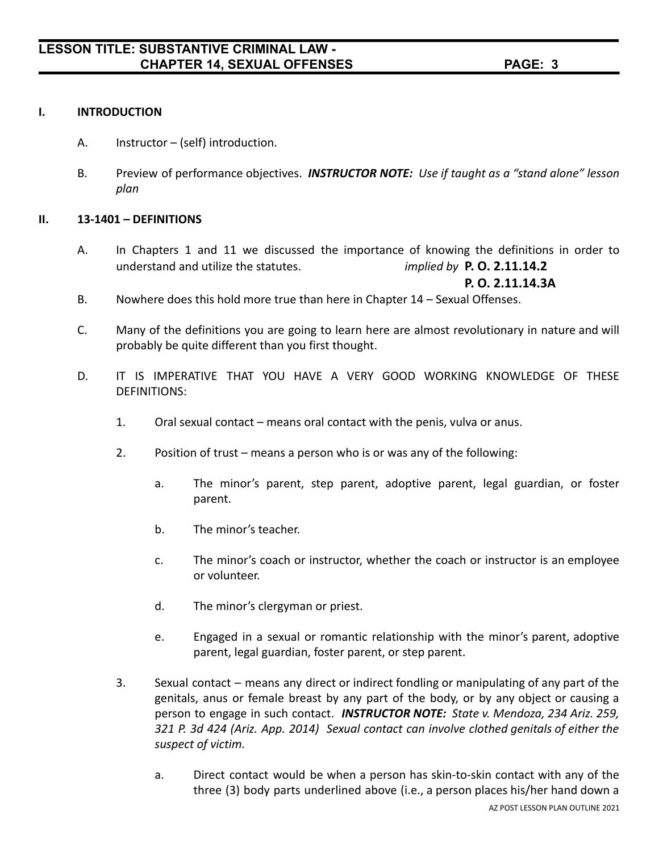#### **I. INTRODUCTION**

- A. Instructor (self) introduction.
- B. Preview of performance objectives. *INSTRUCTOR NOTE: Use if taught as a "stand alone" lesson plan*

#### **II. 13-1401 – DEFINITIONS**

A. In Chapters 1 and 11 we discussed the importance of knowing the definitions in order to understand and utilize the statutes. *implied by* **P. O. 2.11.14.2**

**P. O. 2.11.14.3A**

- B. Nowhere does this hold more true than here in Chapter 14 Sexual Offenses.
- C. Many of the definitions you are going to learn here are almost revolutionary in nature and will probably be quite different than you first thought.
- D. IT IS IMPERATIVE THAT YOU HAVE A VERY GOOD WORKING KNOWLEDGE OF THESE DEFINITIONS:
	- 1. Oral sexual contact means oral contact with the penis, vulva or anus.
	- 2. Position of trust means a person who is or was any of the following:
		- a. The minor's parent, step parent, adoptive parent, legal guardian, or foster parent.
		- b. The minor's teacher.
		- c. The minor's coach or instructor, whether the coach or instructor is an employee or volunteer.
		- d. The minor's clergyman or priest.
		- e. Engaged in a sexual or romantic relationship with the minor's parent, adoptive parent, legal guardian, foster parent, or step parent.
	- 3. Sexual contact means any direct or indirect fondling or manipulating of any part of the genitals, anus or female breast by any part of the body, or by any object or causing a person to engage in such contact. *INSTRUCTOR NOTE: State v. Mendoza, 234 Ariz. 259, 321 P. 3d 424 (Ariz. App. 2014) Sexual contact can involve clothed genitals of either the suspect of victim.*
		- a. Direct contact would be when a person has skin-to-skin contact with any of the three (3) body parts underlined above (i.e., a person places his/her hand down a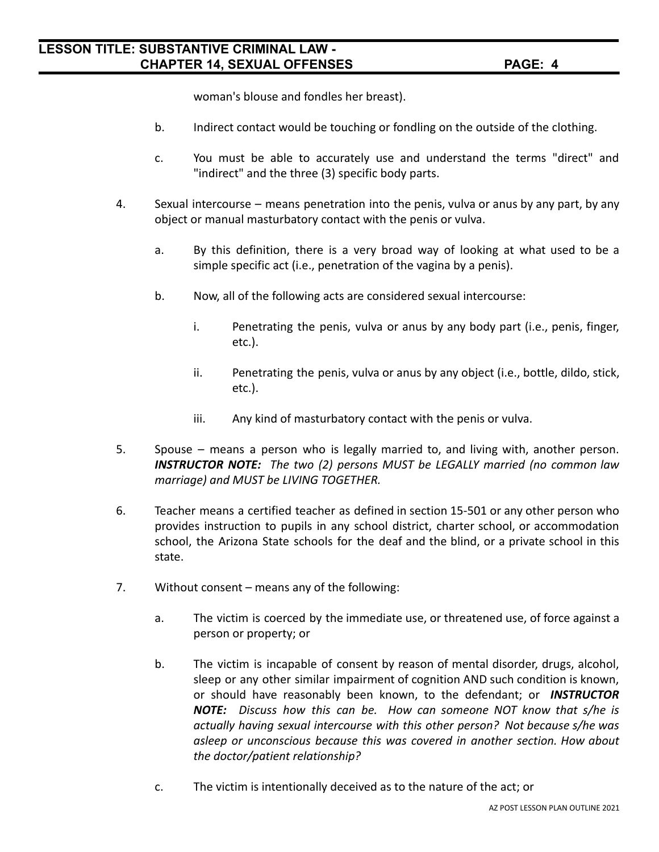woman's blouse and fondles her breast).

- b. Indirect contact would be touching or fondling on the outside of the clothing.
- c. You must be able to accurately use and understand the terms "direct" and "indirect" and the three (3) specific body parts.
- 4. Sexual intercourse means penetration into the penis, vulva or anus by any part, by any object or manual masturbatory contact with the penis or vulva.
	- a. By this definition, there is a very broad way of looking at what used to be a simple specific act (i.e., penetration of the vagina by a penis).
	- b. Now, all of the following acts are considered sexual intercourse:
		- i. Penetrating the penis, vulva or anus by any body part (i.e., penis, finger, etc.).
		- ii. Penetrating the penis, vulva or anus by any object (i.e., bottle, dildo, stick, etc.).
		- iii. Any kind of masturbatory contact with the penis or vulva.
- 5. Spouse means a person who is legally married to, and living with, another person. *INSTRUCTOR NOTE: The two (2) persons MUST be LEGALLY married (no common law marriage) and MUST be LIVING TOGETHER.*
- 6. Teacher means a certified teacher as defined in section 15-501 or any other person who provides instruction to pupils in any school district, charter school, or accommodation school, the Arizona State schools for the deaf and the blind, or a private school in this state.
- 7. Without consent means any of the following:
	- a. The victim is coerced by the immediate use, or threatened use, of force against a person or property; or
	- b. The victim is incapable of consent by reason of mental disorder, drugs, alcohol, sleep or any other similar impairment of cognition AND such condition is known, or should have reasonably been known, to the defendant; or *INSTRUCTOR NOTE: Discuss how this can be. How can someone NOT know that s/he is actually having sexual intercourse with this other person? Not because s/he was asleep or unconscious because this was covered in another section. How about the doctor/patient relationship?*
	- c. The victim is intentionally deceived as to the nature of the act; or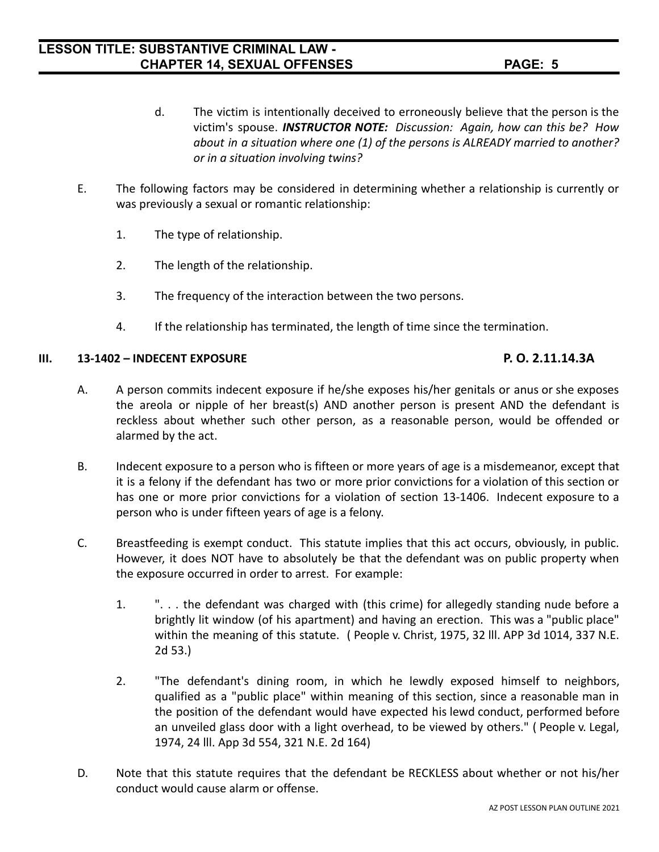- d. The victim is intentionally deceived to erroneously believe that the person is the victim's spouse. *INSTRUCTOR NOTE: Discussion: Again, how can this be? How about in a situation where one (1) of the persons is ALREADY married to another? or in a situation involving twins?*
- E. The following factors may be considered in determining whether a relationship is currently or was previously a sexual or romantic relationship:
	- 1. The type of relationship.
	- 2. The length of the relationship.
	- 3. The frequency of the interaction between the two persons.
	- 4. If the relationship has terminated, the length of time since the termination.

#### **III. 13-1402 – INDECENT EXPOSURE P. O. 2.11.14.3A**

- A. A person commits indecent exposure if he/she exposes his/her genitals or anus or she exposes the areola or nipple of her breast(s) AND another person is present AND the defendant is reckless about whether such other person, as a reasonable person, would be offended or alarmed by the act.
- B. Indecent exposure to a person who is fifteen or more years of age is a misdemeanor, except that it is a felony if the defendant has two or more prior convictions for a violation of this section or has one or more prior convictions for a violation of section 13-1406. Indecent exposure to a person who is under fifteen years of age is a felony.
- C. Breastfeeding is exempt conduct. This statute implies that this act occurs, obviously, in public. However, it does NOT have to absolutely be that the defendant was on public property when the exposure occurred in order to arrest. For example:
	- 1. ". . . the defendant was charged with (this crime) for allegedly standing nude before a brightly lit window (of his apartment) and having an erection. This was a "public place" within the meaning of this statute. ( People v. Christ, 1975, 32 lll. APP 3d 1014, 337 N.E. 2d 53.)
	- 2. "The defendant's dining room, in which he lewdly exposed himself to neighbors, qualified as a "public place" within meaning of this section, since a reasonable man in the position of the defendant would have expected his lewd conduct, performed before an unveiled glass door with a light overhead, to be viewed by others." ( People v. Legal, 1974, 24 lll. App 3d 554, 321 N.E. 2d 164)
- D. Note that this statute requires that the defendant be RECKLESS about whether or not his/her conduct would cause alarm or offense.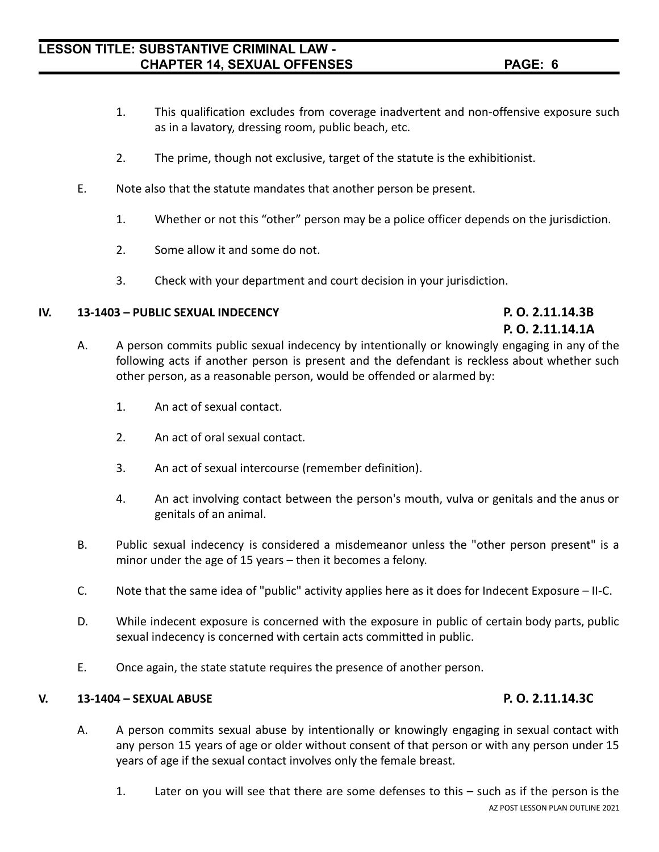### 1. Later on you will see that there are some defenses to this – such as if the person is the AZ POST LESSON PLAN OUTLINE 2021

### **LESSON TITLE: SUBSTANTIVE CRIMINAL LAW - CHAPTER 14, SEXUAL OFFENSES PAGE: 6**

- 1. This qualification excludes from coverage inadvertent and non-offensive exposure such as in a lavatory, dressing room, public beach, etc.
- 2. The prime, though not exclusive, target of the statute is the exhibitionist.
- E. Note also that the statute mandates that another person be present.
	- 1. Whether or not this "other" person may be a police officer depends on the jurisdiction.
	- 2. Some allow it and some do not.
	- 3. Check with your department and court decision in your jurisdiction.

#### **IV. 13-1403 – PUBLIC SEXUAL INDECENCY P. O. 2.11.14.3B**

- A. A person commits public sexual indecency by intentionally or knowingly engaging in any of the following acts if another person is present and the defendant is reckless about whether such other person, as a reasonable person, would be offended or alarmed by:
	- 1. An act of sexual contact.
	- 2. An act of oral sexual contact.
	- 3. An act of sexual intercourse (remember definition).
	- 4. An act involving contact between the person's mouth, vulva or genitals and the anus or genitals of an animal.
- B. Public sexual indecency is considered a misdemeanor unless the "other person present" is a minor under the age of 15 years – then it becomes a felony.
- C. Note that the same idea of "public" activity applies here as it does for Indecent Exposure II-C.
- D. While indecent exposure is concerned with the exposure in public of certain body parts, public sexual indecency is concerned with certain acts committed in public.

A. A person commits sexual abuse by intentionally or knowingly engaging in sexual contact with

any person 15 years of age or older without consent of that person or with any person under 15

E. Once again, the state statute requires the presence of another person.

years of age if the sexual contact involves only the female breast.

### **V. 13-1404 – SEXUAL ABUSE P. O. 2.11.14.3C**

## **P. O. 2.11.14.1A**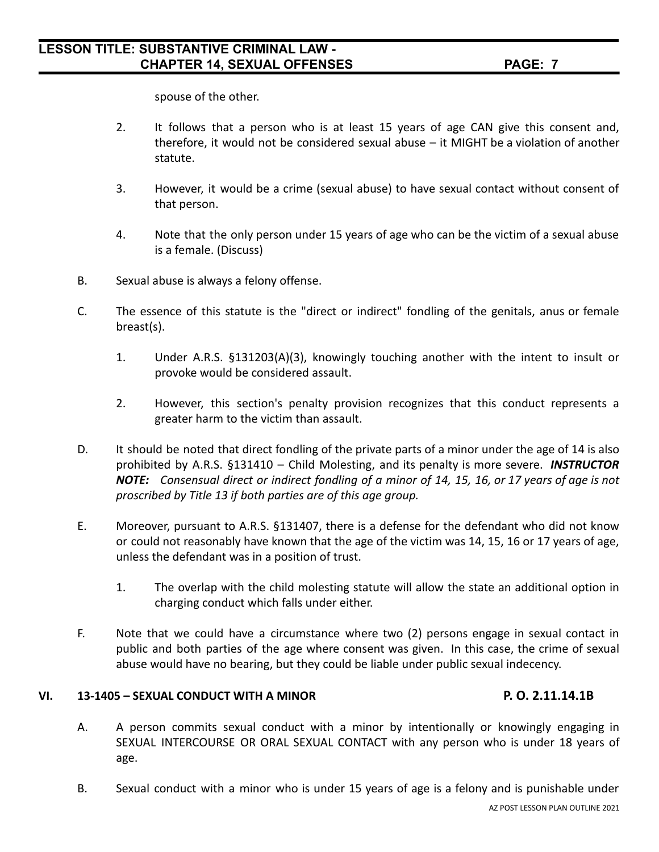spouse of the other.

- 2. It follows that a person who is at least 15 years of age CAN give this consent and, therefore, it would not be considered sexual abuse – it MIGHT be a violation of another statute.
- 3. However, it would be a crime (sexual abuse) to have sexual contact without consent of that person.
- 4. Note that the only person under 15 years of age who can be the victim of a sexual abuse is a female. (Discuss)
- B. Sexual abuse is always a felony offense.
- C. The essence of this statute is the "direct or indirect" fondling of the genitals, anus or female breast(s).
	- 1. Under A.R.S. §131203(A)(3), knowingly touching another with the intent to insult or provoke would be considered assault.
	- 2. However, this section's penalty provision recognizes that this conduct represents a greater harm to the victim than assault.
- D. It should be noted that direct fondling of the private parts of a minor under the age of 14 is also prohibited by A.R.S. §131410 – Child Molesting, and its penalty is more severe. *INSTRUCTOR* NOTE: Consensual direct or indirect fondling of a minor of 14, 15, 16, or 17 years of age is not *proscribed by Title 13 if both parties are of this age group.*
- E. Moreover, pursuant to A.R.S. §131407, there is a defense for the defendant who did not know or could not reasonably have known that the age of the victim was 14, 15, 16 or 17 years of age, unless the defendant was in a position of trust.
	- 1. The overlap with the child molesting statute will allow the state an additional option in charging conduct which falls under either.
- F. Note that we could have a circumstance where two (2) persons engage in sexual contact in public and both parties of the age where consent was given. In this case, the crime of sexual abuse would have no bearing, but they could be liable under public sexual indecency.

#### **VI. 13-1405 – SEXUAL CONDUCT WITH A MINOR P. O. 2.11.14.1B**

- A. A person commits sexual conduct with a minor by intentionally or knowingly engaging in SEXUAL INTERCOURSE OR ORAL SEXUAL CONTACT with any person who is under 18 years of age.
- B. Sexual conduct with a minor who is under 15 years of age is a felony and is punishable under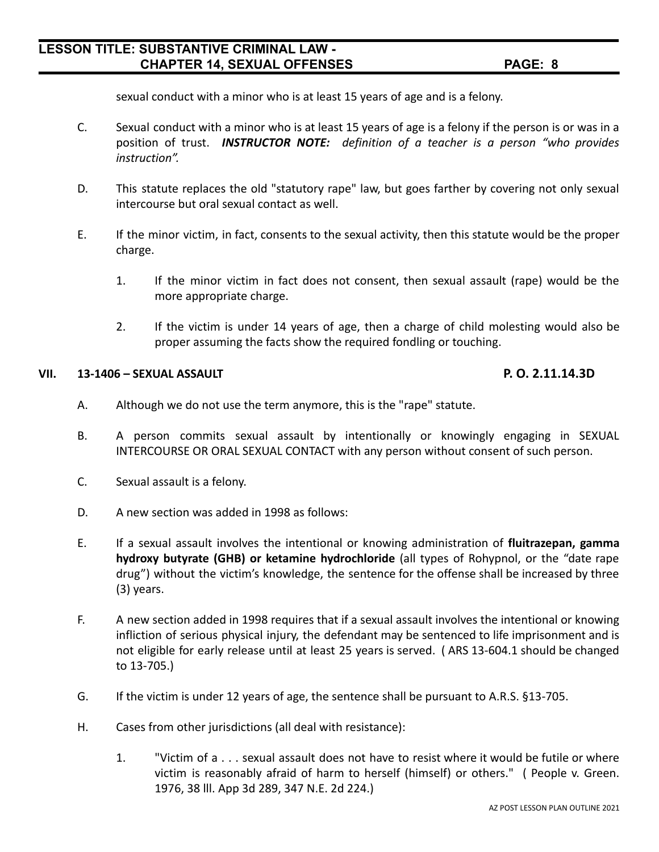sexual conduct with a minor who is at least 15 years of age and is a felony.

- C. Sexual conduct with a minor who is at least 15 years of age is a felony if the person is or was in a position of trust. *INSTRUCTOR NOTE: definition of a teacher is a person "who provides instruction".*
- D. This statute replaces the old "statutory rape" law, but goes farther by covering not only sexual intercourse but oral sexual contact as well.
- E. If the minor victim, in fact, consents to the sexual activity, then this statute would be the proper charge.
	- 1. If the minor victim in fact does not consent, then sexual assault (rape) would be the more appropriate charge.
	- 2. If the victim is under 14 years of age, then a charge of child molesting would also be proper assuming the facts show the required fondling or touching.

#### **VII. 13-1406 – SEXUAL ASSAULT P. O. 2.11.14.3D**

- A. Although we do not use the term anymore, this is the "rape" statute.
- B. A person commits sexual assault by intentionally or knowingly engaging in SEXUAL INTERCOURSE OR ORAL SEXUAL CONTACT with any person without consent of such person.
- C. Sexual assault is a felony.
- D. A new section was added in 1998 as follows:
- E. If a sexual assault involves the intentional or knowing administration of **fluitrazepan, gamma hydroxy butyrate (GHB) or ketamine hydrochloride** (all types of Rohypnol, or the "date rape drug") without the victim's knowledge, the sentence for the offense shall be increased by three (3) years.
- F. A new section added in 1998 requires that if a sexual assault involves the intentional or knowing infliction of serious physical injury, the defendant may be sentenced to life imprisonment and is not eligible for early release until at least 25 years is served. ( ARS 13-604.1 should be changed to 13-705.)
- G. If the victim is under 12 years of age, the sentence shall be pursuant to A.R.S. §13-705.
- H. Cases from other jurisdictions (all deal with resistance):
	- 1. "Victim of a . . . sexual assault does not have to resist where it would be futile or where victim is reasonably afraid of harm to herself (himself) or others." ( People v. Green. 1976, 38 lll. App 3d 289, 347 N.E. 2d 224.)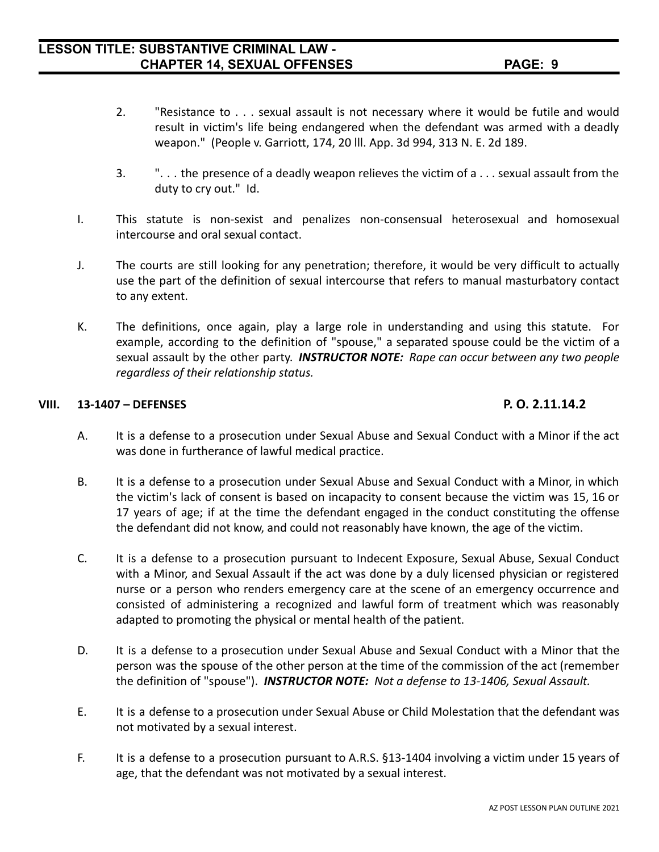- 2. "Resistance to . . . sexual assault is not necessary where it would be futile and would result in victim's life being endangered when the defendant was armed with a deadly weapon." (People v. Garriott, 174, 20 lll. App. 3d 994, 313 N. E. 2d 189.
- 3. ". . . the presence of a deadly weapon relieves the victim of a . . . sexual assault from the duty to cry out." Id.
- I. This statute is non-sexist and penalizes non-consensual heterosexual and homosexual intercourse and oral sexual contact.
- J. The courts are still looking for any penetration; therefore, it would be very difficult to actually use the part of the definition of sexual intercourse that refers to manual masturbatory contact to any extent.
- K. The definitions, once again, play a large role in understanding and using this statute. For example, according to the definition of "spouse," a separated spouse could be the victim of a sexual assault by the other party. *INSTRUCTOR NOTE: Rape can occur between any two people regardless of their relationship status.*

#### **VIII. 13-1407 – DEFENSES P. O. 2.11.14.2**

- A. It is a defense to a prosecution under Sexual Abuse and Sexual Conduct with a Minor if the act was done in furtherance of lawful medical practice.
- B. It is a defense to a prosecution under Sexual Abuse and Sexual Conduct with a Minor, in which the victim's lack of consent is based on incapacity to consent because the victim was 15, 16 or 17 years of age; if at the time the defendant engaged in the conduct constituting the offense the defendant did not know, and could not reasonably have known, the age of the victim.
- C. It is a defense to a prosecution pursuant to Indecent Exposure, Sexual Abuse, Sexual Conduct with a Minor, and Sexual Assault if the act was done by a duly licensed physician or registered nurse or a person who renders emergency care at the scene of an emergency occurrence and consisted of administering a recognized and lawful form of treatment which was reasonably adapted to promoting the physical or mental health of the patient.
- D. It is a defense to a prosecution under Sexual Abuse and Sexual Conduct with a Minor that the person was the spouse of the other person at the time of the commission of the act (remember the definition of "spouse"). *INSTRUCTOR NOTE: Not a defense to 13-1406, Sexual Assault.*
- E. It is a defense to a prosecution under Sexual Abuse or Child Molestation that the defendant was not motivated by a sexual interest.
- F. It is a defense to a prosecution pursuant to A.R.S. §13-1404 involving a victim under 15 years of age, that the defendant was not motivated by a sexual interest.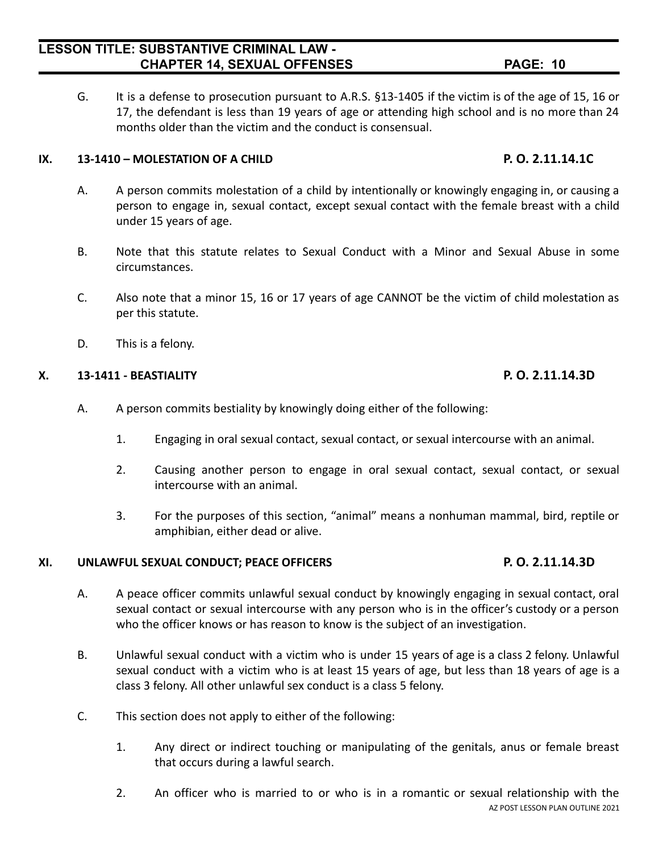G. It is a defense to prosecution pursuant to A.R.S. §13-1405 if the victim is of the age of 15, 16 or 17, the defendant is less than 19 years of age or attending high school and is no more than 24 months older than the victim and the conduct is consensual.

#### **IX. 13-1410 – MOLESTATION OF A CHILD P. O. 2.11.14.1C**

- A. A person commits molestation of a child by intentionally or knowingly engaging in, or causing a person to engage in, sexual contact, except sexual contact with the female breast with a child under 15 years of age.
- B. Note that this statute relates to Sexual Conduct with a Minor and Sexual Abuse in some circumstances.
- C. Also note that a minor 15, 16 or 17 years of age CANNOT be the victim of child molestation as per this statute.
- D. This is a felony.

#### **X. 13-1411 - BEASTIALITY P. O. 2.11.14.3D**

- A. A person commits bestiality by knowingly doing either of the following:
	- 1. Engaging in oral sexual contact, sexual contact, or sexual intercourse with an animal.
	- 2. Causing another person to engage in oral sexual contact, sexual contact, or sexual intercourse with an animal.
	- 3. For the purposes of this section, "animal" means a nonhuman mammal, bird, reptile or amphibian, either dead or alive.

#### **XI. UNLAWFUL SEXUAL CONDUCT; PEACE OFFICERS P. O. 2.11.14.3D**

- A. A peace officer commits unlawful sexual conduct by knowingly engaging in sexual contact, oral sexual contact or sexual intercourse with any person who is in the officer's custody or a person who the officer knows or has reason to know is the subject of an investigation.
- B. Unlawful sexual conduct with a victim who is under 15 years of age is a class 2 felony. Unlawful sexual conduct with a victim who is at least 15 years of age, but less than 18 years of age is a class 3 felony. All other unlawful sex conduct is a class 5 felony.
- C. This section does not apply to either of the following:
	- 1. Any direct or indirect touching or manipulating of the genitals, anus or female breast that occurs during a lawful search.
	- 2. An officer who is married to or who is in a romantic or sexual relationship with the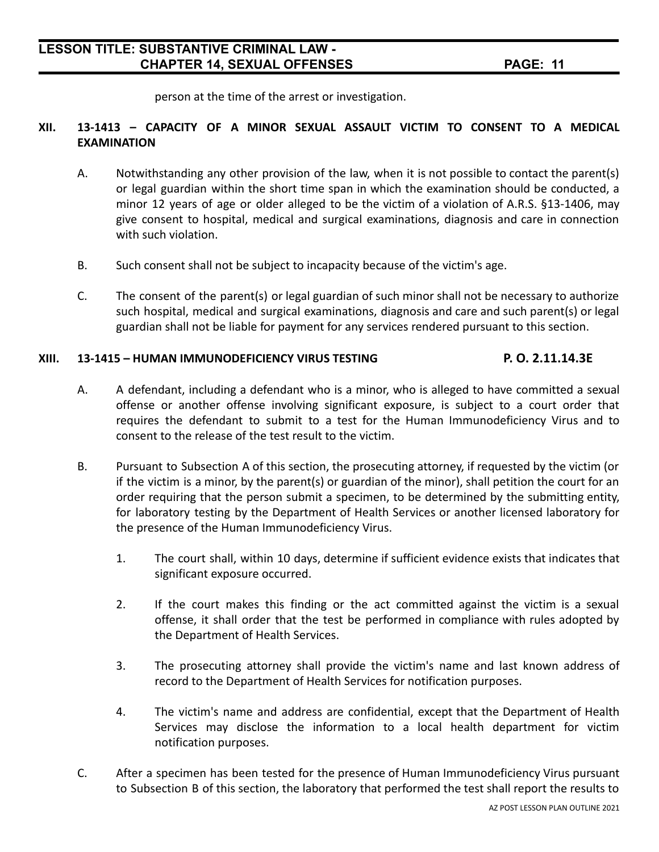person at the time of the arrest or investigation.

#### **XII. 13-1413 – CAPACITY OF A MINOR SEXUAL ASSAULT VICTIM TO CONSENT TO A MEDICAL EXAMINATION**

- A. Notwithstanding any other provision of the law, when it is not possible to contact the parent(s) or legal guardian within the short time span in which the examination should be conducted, a minor 12 years of age or older alleged to be the victim of a violation of A.R.S. §13-1406, may give consent to hospital, medical and surgical examinations, diagnosis and care in connection with such violation.
- B. Such consent shall not be subject to incapacity because of the victim's age.
- C. The consent of the parent(s) or legal guardian of such minor shall not be necessary to authorize such hospital, medical and surgical examinations, diagnosis and care and such parent(s) or legal guardian shall not be liable for payment for any services rendered pursuant to this section.

#### **XIII. 13-1415 – HUMAN IMMUNODEFICIENCY VIRUS TESTING P. O. 2.11.14.3E**

- A. A defendant, including a defendant who is a minor, who is alleged to have committed a sexual offense or another offense involving significant exposure, is subject to a court order that requires the defendant to submit to a test for the Human Immunodeficiency Virus and to consent to the release of the test result to the victim.
- B. Pursuant to Subsection A of this section, the prosecuting attorney, if requested by the victim (or if the victim is a minor, by the parent(s) or guardian of the minor), shall petition the court for an order requiring that the person submit a specimen, to be determined by the submitting entity, for laboratory testing by the Department of Health Services or another licensed laboratory for the presence of the Human Immunodeficiency Virus.
	- 1. The court shall, within 10 days, determine if sufficient evidence exists that indicates that significant exposure occurred.
	- 2. If the court makes this finding or the act committed against the victim is a sexual offense, it shall order that the test be performed in compliance with rules adopted by the Department of Health Services.
	- 3. The prosecuting attorney shall provide the victim's name and last known address of record to the Department of Health Services for notification purposes.
	- 4. The victim's name and address are confidential, except that the Department of Health Services may disclose the information to a local health department for victim notification purposes.
- C. After a specimen has been tested for the presence of Human Immunodeficiency Virus pursuant to Subsection B of this section, the laboratory that performed the test shall report the results to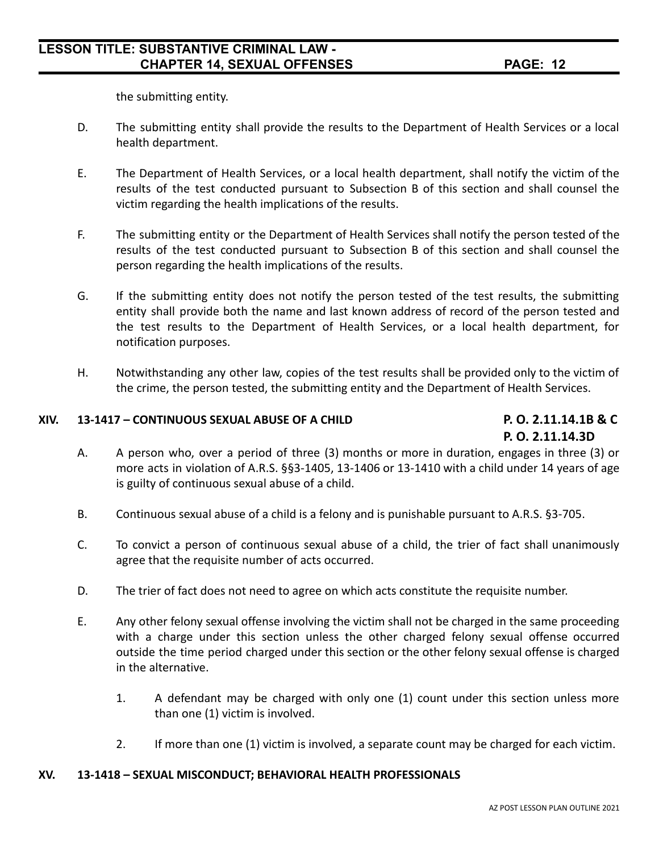the submitting entity.

- D. The submitting entity shall provide the results to the Department of Health Services or a local health department.
- E. The Department of Health Services, or a local health department, shall notify the victim of the results of the test conducted pursuant to Subsection B of this section and shall counsel the victim regarding the health implications of the results.
- F. The submitting entity or the Department of Health Services shall notify the person tested of the results of the test conducted pursuant to Subsection B of this section and shall counsel the person regarding the health implications of the results.
- G. If the submitting entity does not notify the person tested of the test results, the submitting entity shall provide both the name and last known address of record of the person tested and the test results to the Department of Health Services, or a local health department, for notification purposes.
- H. Notwithstanding any other law, copies of the test results shall be provided only to the victim of the crime, the person tested, the submitting entity and the Department of Health Services.

#### **XIV. 13-1417 – CONTINUOUS SEXUAL ABUSE OF A CHILD P. O. 2.11.14.1B & C**

## **P. O. 2.11.14.3D**

- A. A person who, over a period of three (3) months or more in duration, engages in three (3) or more acts in violation of A.R.S. §§3-1405, 13-1406 or 13-1410 with a child under 14 years of age is guilty of continuous sexual abuse of a child.
- B. Continuous sexual abuse of a child is a felony and is punishable pursuant to A.R.S. §3-705.
- C. To convict a person of continuous sexual abuse of a child, the trier of fact shall unanimously agree that the requisite number of acts occurred.
- D. The trier of fact does not need to agree on which acts constitute the requisite number.
- E. Any other felony sexual offense involving the victim shall not be charged in the same proceeding with a charge under this section unless the other charged felony sexual offense occurred outside the time period charged under this section or the other felony sexual offense is charged in the alternative.
	- 1. A defendant may be charged with only one (1) count under this section unless more than one (1) victim is involved.
	- 2. If more than one (1) victim is involved, a separate count may be charged for each victim.

#### **XV. 13-1418 – SEXUAL MISCONDUCT; BEHAVIORAL HEALTH PROFESSIONALS**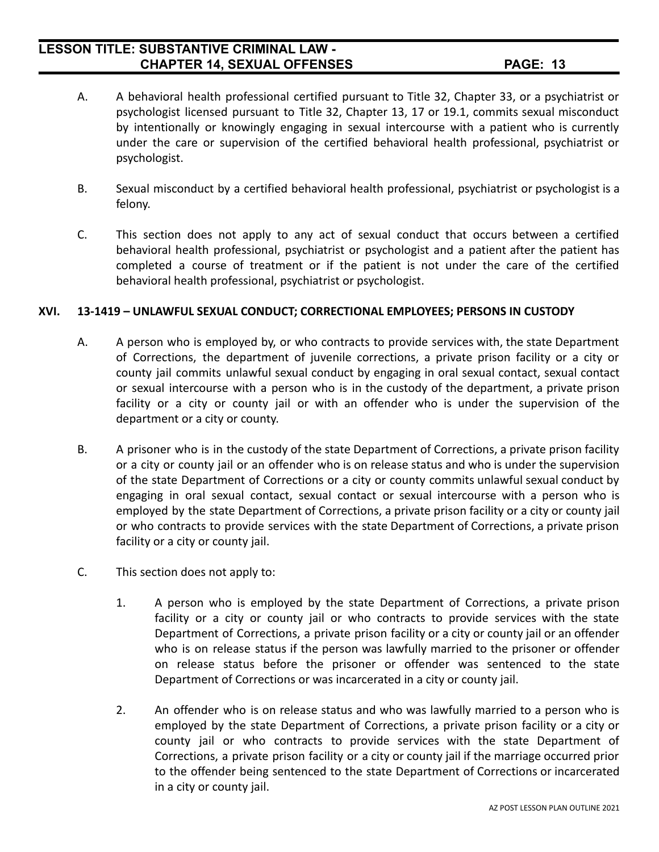- A. A behavioral health professional certified pursuant to Title 32, Chapter 33, or a psychiatrist or psychologist licensed pursuant to Title 32, Chapter 13, 17 or 19.1, commits sexual misconduct by intentionally or knowingly engaging in sexual intercourse with a patient who is currently under the care or supervision of the certified behavioral health professional, psychiatrist or psychologist.
- B. Sexual misconduct by a certified behavioral health professional, psychiatrist or psychologist is a felony.
- C. This section does not apply to any act of sexual conduct that occurs between a certified behavioral health professional, psychiatrist or psychologist and a patient after the patient has completed a course of treatment or if the patient is not under the care of the certified behavioral health professional, psychiatrist or psychologist.

#### **XVI. 13-1419 – UNLAWFUL SEXUAL CONDUCT; CORRECTIONAL EMPLOYEES; PERSONS IN CUSTODY**

- A. A person who is employed by, or who contracts to provide services with, the state Department of Corrections, the department of juvenile corrections, a private prison facility or a city or county jail commits unlawful sexual conduct by engaging in oral sexual contact, sexual contact or sexual intercourse with a person who is in the custody of the department, a private prison facility or a city or county jail or with an offender who is under the supervision of the department or a city or county.
- B. A prisoner who is in the custody of the state Department of Corrections, a private prison facility or a city or county jail or an offender who is on release status and who is under the supervision of the state Department of Corrections or a city or county commits unlawful sexual conduct by engaging in oral sexual contact, sexual contact or sexual intercourse with a person who is employed by the state Department of Corrections, a private prison facility or a city or county jail or who contracts to provide services with the state Department of Corrections, a private prison facility or a city or county jail.
- C. This section does not apply to:
	- 1. A person who is employed by the state Department of Corrections, a private prison facility or a city or county jail or who contracts to provide services with the state Department of Corrections, a private prison facility or a city or county jail or an offender who is on release status if the person was lawfully married to the prisoner or offender on release status before the prisoner or offender was sentenced to the state Department of Corrections or was incarcerated in a city or county jail.
	- 2. An offender who is on release status and who was lawfully married to a person who is employed by the state Department of Corrections, a private prison facility or a city or county jail or who contracts to provide services with the state Department of Corrections, a private prison facility or a city or county jail if the marriage occurred prior to the offender being sentenced to the state Department of Corrections or incarcerated in a city or county jail.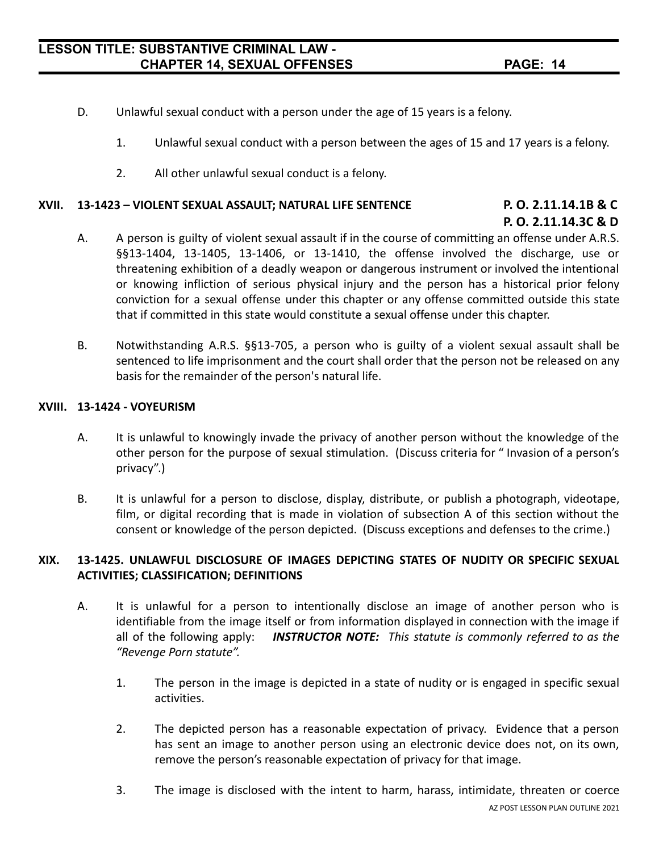- D. Unlawful sexual conduct with a person under the age of 15 years is a felony.
	- 1. Unlawful sexual conduct with a person between the ages of 15 and 17 years is a felony.
	- 2. All other unlawful sexual conduct is a felony.

#### **XVII. 13-1423 – VIOLENT SEXUAL ASSAULT; NATURAL LIFE SENTENCE P. O. 2.11.14.1B & C**

# **P. O. 2.11.14.3C & D**

- A. A person is guilty of violent sexual assault if in the course of committing an offense under A.R.S. §§13-1404, 13-1405, 13-1406, or 13-1410, the offense involved the discharge, use or threatening exhibition of a deadly weapon or dangerous instrument or involved the intentional or knowing infliction of serious physical injury and the person has a historical prior felony conviction for a sexual offense under this chapter or any offense committed outside this state that if committed in this state would constitute a sexual offense under this chapter.
- B. Notwithstanding A.R.S. §§13-705, a person who is guilty of a violent sexual assault shall be sentenced to life imprisonment and the court shall order that the person not be released on any basis for the remainder of the person's natural life.

#### **XVIII. 13-1424 - VOYEURISM**

- A. It is unlawful to knowingly invade the privacy of another person without the knowledge of the other person for the purpose of sexual stimulation. (Discuss criteria for " Invasion of a person's privacy".)
- B. It is unlawful for a person to disclose, display, distribute, or publish a photograph, videotape, film, or digital recording that is made in violation of subsection A of this section without the consent or knowledge of the person depicted. (Discuss exceptions and defenses to the crime.)

#### **XIX. 13-1425. UNLAWFUL DISCLOSURE OF IMAGES DEPICTING STATES OF NUDITY OR SPECIFIC SEXUAL ACTIVITIES; CLASSIFICATION; DEFINITIONS**

- A. It is unlawful for a person to intentionally disclose an image of another person who is identifiable from the image itself or from information displayed in connection with the image if all of the following apply: *INSTRUCTOR NOTE: This statute is commonly referred to as the "Revenge Porn statute".*
	- 1. The person in the image is depicted in a state of nudity or is engaged in specific sexual activities.
	- 2. The depicted person has a reasonable expectation of privacy. Evidence that a person has sent an image to another person using an electronic device does not, on its own, remove the person's reasonable expectation of privacy for that image.
	- 3. The image is disclosed with the intent to harm, harass, intimidate, threaten or coerce AZ POST LESSON PLAN OUTLINE 2021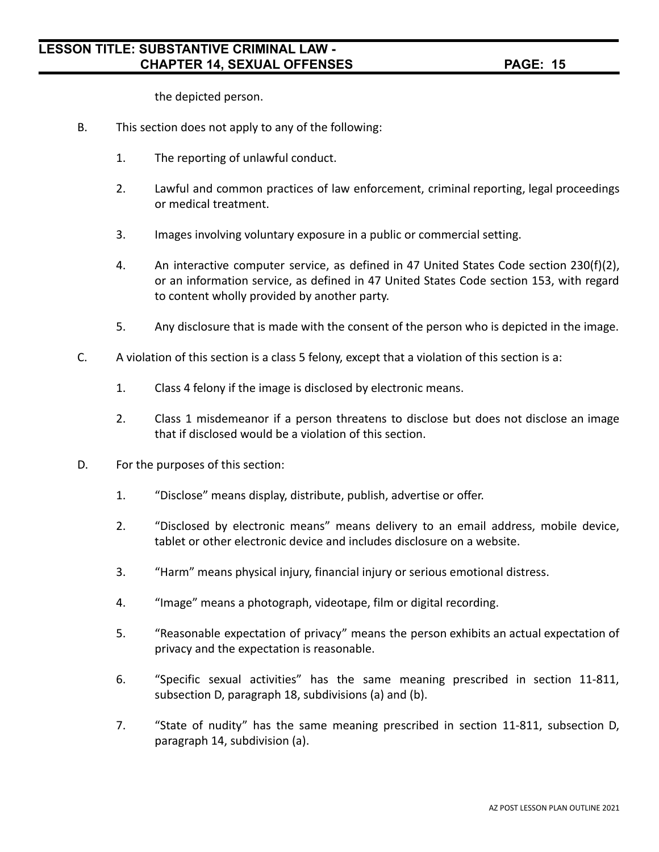the depicted person.

- B. This section does not apply to any of the following:
	- 1. The reporting of unlawful conduct.
	- 2. Lawful and common practices of law enforcement, criminal reporting, legal proceedings or medical treatment.
	- 3. Images involving voluntary exposure in a public or commercial setting.
	- 4. An interactive computer service, as defined in 47 United States Code section 230(f)(2), or an information service, as defined in 47 United States Code section 153, with regard to content wholly provided by another party.
	- 5. Any disclosure that is made with the consent of the person who is depicted in the image.
- C. A violation of this section is a class 5 felony, except that a violation of this section is a:
	- 1. Class 4 felony if the image is disclosed by electronic means.
	- 2. Class 1 misdemeanor if a person threatens to disclose but does not disclose an image that if disclosed would be a violation of this section.
- D. For the purposes of this section:
	- 1. "Disclose" means display, distribute, publish, advertise or offer.
	- 2. "Disclosed by electronic means" means delivery to an email address, mobile device, tablet or other electronic device and includes disclosure on a website.
	- 3. "Harm" means physical injury, financial injury or serious emotional distress.
	- 4. "Image" means a photograph, videotape, film or digital recording.
	- 5. "Reasonable expectation of privacy" means the person exhibits an actual expectation of privacy and the expectation is reasonable.
	- 6. "Specific sexual activities" has the same meaning prescribed in section 11-811, subsection D, paragraph 18, subdivisions (a) and (b).
	- 7. "State of nudity" has the same meaning prescribed in section 11-811, subsection D, paragraph 14, subdivision (a).